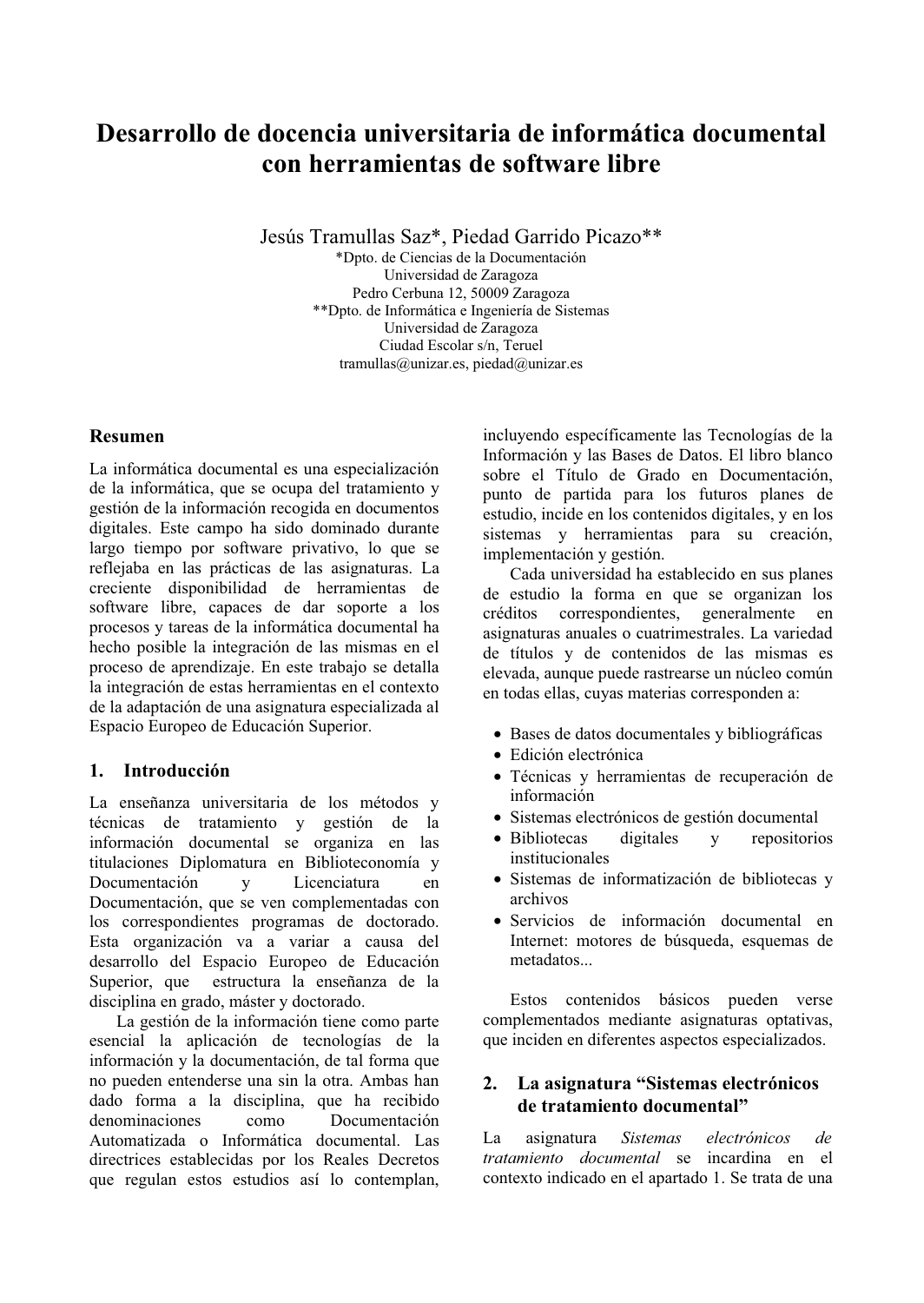# **Desarrollo de docencia universitaria de informática documental**  $\mathbf{con}\ \mathbf{herramients}\ \mathbf{de}\ \mathbf{software}\ \mathbf{libre}$

Jesús Tramullas Saz\*, Piedad Garrido Picazo\*\*

\*Dpto, de Ciencias de la Documentación Universidad de Zaragoza Pedro Cerbuna 12, 50009 Zaragoza \*\*Dpto. de Informática e Ingeniería de Sistemas Universidad de Zaragoza Ciudad Escolar s/n. Teruel tramullas@unizar.es, piedad@unizar.es

## **Resumen**

La informática documental es una especialización de la informática, que se ocupa del tratamiento y gestión de la información recogida en documentos digitales. Este campo ha sido dominado durante largo tiempo por software privativo, lo que se reflejaba en las prácticas de las asignaturas. La creciente disponibilidad de herramientas de software libre, capaces de dar soporte a los procesos y tareas de la informática documental ha hecho posible la integración de las mismas en el proceso de aprendizaje. En este trabajo se detalla la integración de estas herramientas en el contexto de la adaptación de una asignatura especializada al Espacio Europeo de Educación Superior.

# **1.** Introducción

La enseñanza universitaria de los métodos v técnicas de tratamiento y gestión de la información documental se organiza en las titulaciones Diplomatura en Biblioteconomía y Documentación y Licenciatura en Documentación, que se ven complementadas con los correspondientes programas de doctorado. Esta organización va a variar a causa del desarrollo del Espacio Europeo de Educación<br>Superior, que estructura la enseñanza de la estructura la enseñanza de la disciplina en grado, máster y doctorado.

La gestión de la información tiene como parte esencial la aplicación de tecnologías de la información y la documentación, de tal forma que no pueden entenderse una sin la otra. Ambas han dado forma a la disciplina, que ha recibido denominaciones como Documentación Automatizada o Informática documental. Las directrices establecidas por los Reales Decretos que regulan estos estudios así lo contemplan, incluyendo específicamente las Tecnologías de la Información y las Bases de Datos. El libro blanco sobre el Título de Grado en Documentación, punto de partida para los futuros planes de estudio, incide en los contenidos digitales, y en los sistemas y herramientas para su creación, implementación y gestión.

Cada universidad ha establecido en sus planes de estudio la forma en que se organizan los créditos correspondientes, generalmente en asignaturas anuales o cuatrimestrales. La variedad de títulos y de contenidos de las mismas es elevada, aunque puede rastrearse un núcleo común en todas ellas, cuvas materias corresponden a:

- Bases de datos documentales y bibliográficas
- Edición electrónica
- Técnicas y herramientas de recuperación de información
- Sistemas electrónicos de gestión documental
- Bibliotecas digitales  $y$  repositorios institucionales
- Sistemas de informatización de bibliotecas y archivos
- Servicios de información documental en Internet: motores de búsqueda, esquemas de metadatos...

Estos contenidos básicos pueden verse complementados mediante asignaturas optativas, que inciden en diferentes aspectos especializados.

## 2. La asignatura "Sistemas electrónicos"  $de$  tratamiento documental"

La asignatura *Sistemas electrónicos de*  $$ contexto indicado en el apartado 1. Se trata de una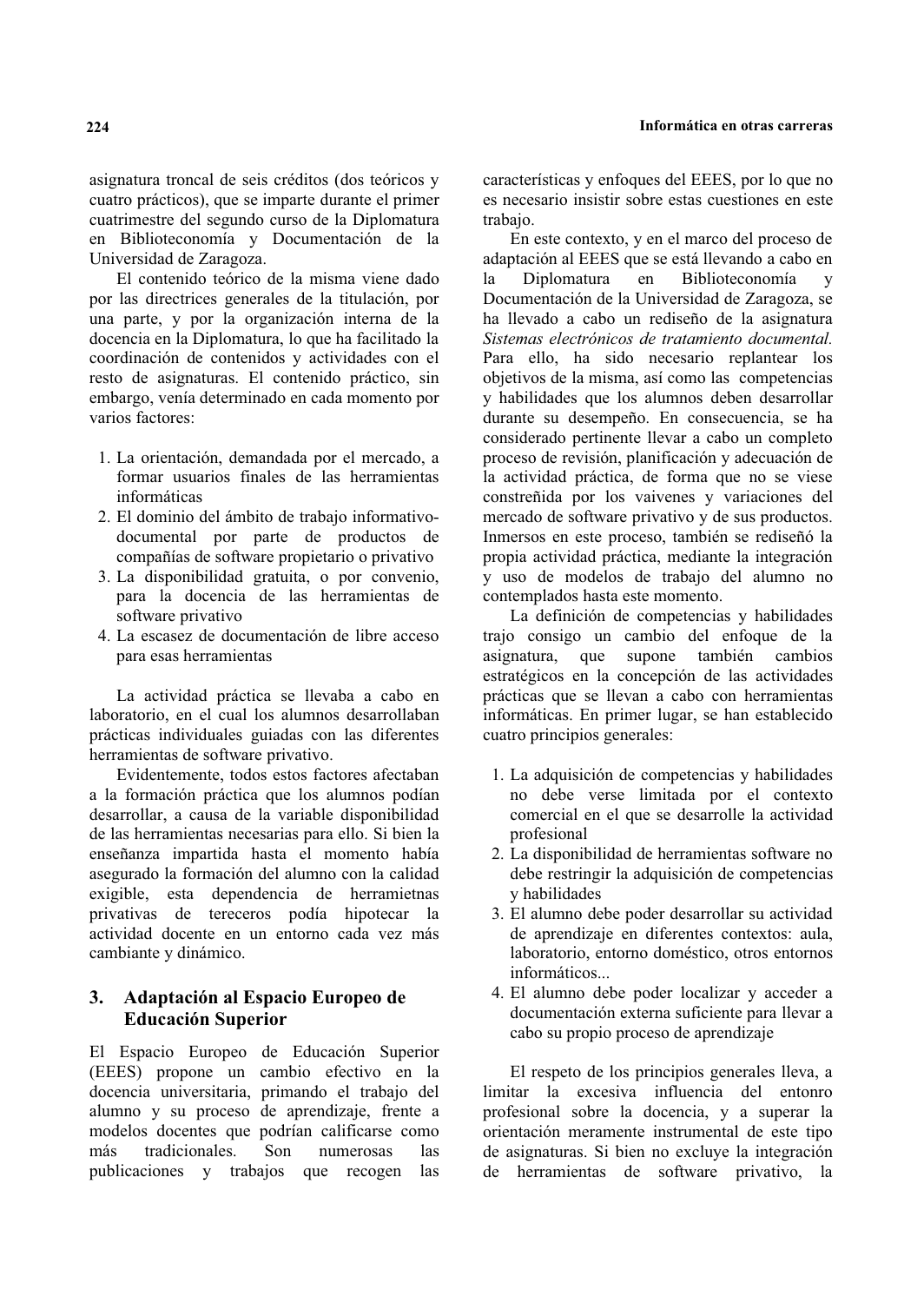asignatura troncal de seis créditos (dos teóricos y cuatro prácticos), que se imparte durante el primer cuatrimestre del segundo curso de la Diplomatura en Biblioteconomía y Documentación de la Universidad de Zaragoza.

El contenido teórico de la misma viene dado por las directrices generales de la titulación, por una parte, y por la organización interna de la docencia en la Diplomatura, lo que ha facilitado la coordinación de contenidos y actividades con el resto de asignaturas. El contenido práctico, sin embargo, venía determinado en cada momento por varios factores:

- 1. La orientación, demandada por el mercado, a formar usuarios finales de las herramientas informáticas
- 2. El dominio del ámbito de trabajo informativodocumental por parte de productos de compañías de software propietario o privativo
- 3. La disponibilidad gratuita, o por convenio, para la docencia de las herramientas de software privativo
- 4. La escasez de documentación de libre acceso para esas herramientas

La actividad práctica se llevaba a cabo en laboratorio, en el cual los alumnos desarrollaban prácticas individuales guiadas con las diferentes herramientas de software privativo.

Evidentemente, todos estos factores afectaban a la formación práctica que los alumnos podían desarrollar, a causa de la variable disponibilidad de las herramientas necesarias para ello. Si bien la enseñanza impartida hasta el momento había asegurado la formación del alumno con la calidad exigible, esta dependencia de herramietnas privativas de tereceros podía hipotecar la actividad docente en un entorno cada vez más cambiante y dinámico.

## **3. Adaptación al Espacio Europeo de Educación Superior**

El Espacio Europeo de Educación Superior  $(EEES)$  propone un cambio efectivo en la docencia universitaria, primando el trabajo del alumno y su proceso de aprendizaje, frente a modelos docentes que podrían calificarse como<br>más tradicionales Son numerosas las tradicionales. Son numerosas las publicaciones y trabajos que recogen las características y enfoques del EEES, por lo que no es necesario insistir sobre estas cuestiones en este trabaio.

En este contexto, y en el marco del proceso de adaptación al EEES que se está llevando a cabo en la Diplomatura en Biblioteconomía y la Diplomatura en Biblioteconomía y Documentación de la Universidad de Zaragoza, se ha llevado a cabo un rediseño de la asignatura  $S$ *istemas electrónicos de tratamiento documental.* Para ello, ha sido necesario replantear los objetivos de la misma, así como las competencias y habilidades que los alumnos deben desarrollar durante su desempeño. En consecuencia, se ha considerado pertinente llevar a cabo un completo proceso de revisión, planificación y adecuación de la actividad práctica, de forma que no se viese constreñida por los vaivenes y variaciones del mercado de software privativo y de sus productos. Inmersos en este proceso, también se rediseñó la propia actividad práctica, mediante la integración y uso de modelos de trabajo del alumno no contemplados hasta este momento.

La definición de competencias y habilidades trajo consigo un cambio del enfoque de la asignatura, que supone también cambios estratégicos en la concepción de las actividades prácticas que se llevan a cabo con herramientas informáticas. En primer lugar, se han establecido cuatro principios generales:

- 1. La adquisición de competencias y habilidades no debe verse limitada por el contexto comercial en el que se desarrolle la actividad profesional
- 2. La disponibilidad de herramientas software no debe restringir la adquisición de competencias v habilidades
- 3. El alumno debe poder desarrollar su actividad de aprendizaje en diferentes contextos: aula, laboratorio, entorno doméstico, otros entornos informáticos...
- 4. El alumno debe poder localizar y acceder a documentación externa suficiente para llevar a cabo su propio proceso de aprendizaje

El respeto de los principios generales lleva, a limitar la excesiva influencia del entonro profesional sobre la docencia, y a superar la orientación meramente instrumental de este tipo de asignaturas. Si bien no excluve la integración de herramientas de software privativo, la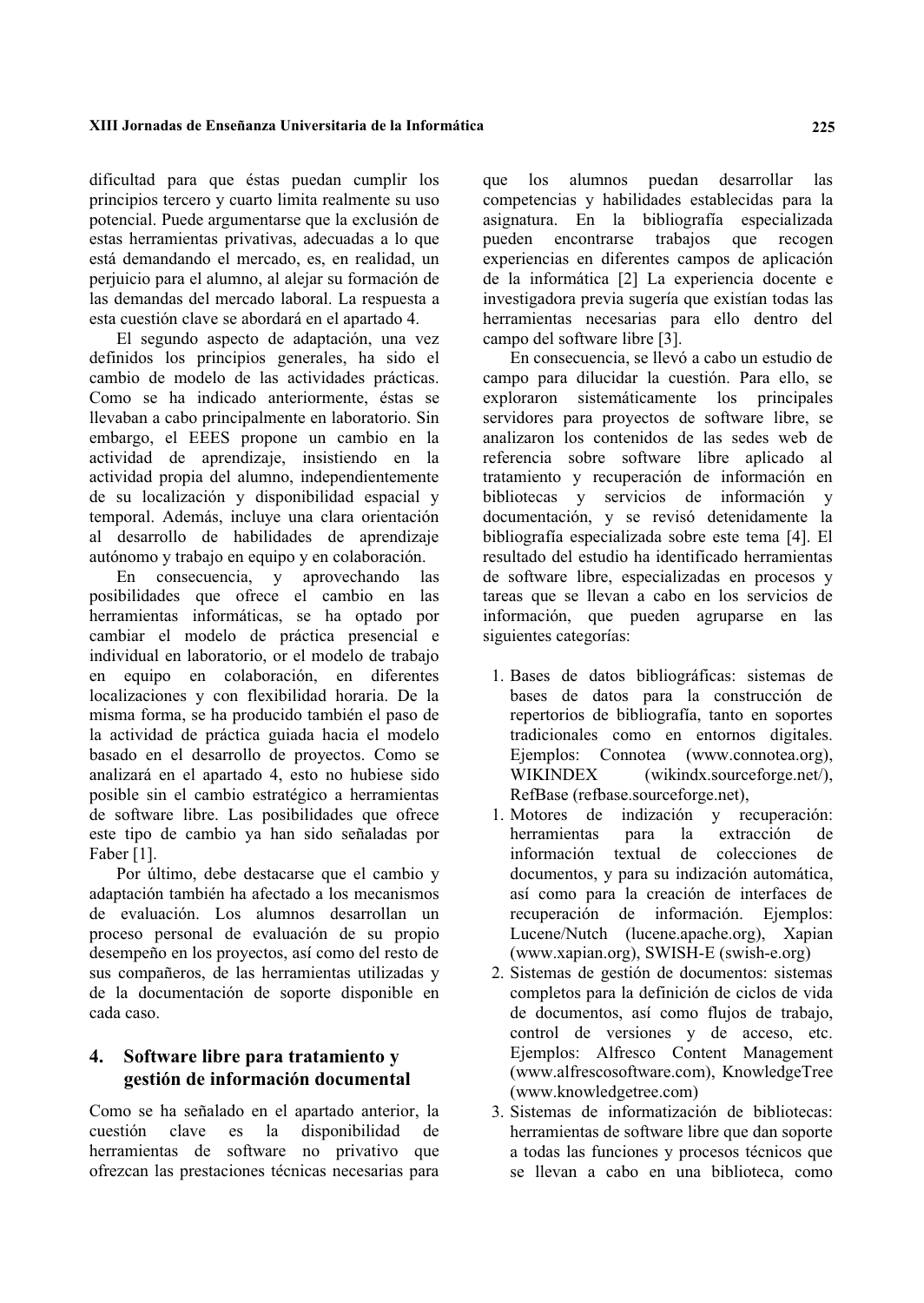#### XIII Jornadas de Enseñanza Universitaria de la Informática

dificultad para que éstas puedan cumplir los principios tercero y cuarto limita realmente su uso potencial. Puede argumentarse que la exclusión de estas herramientas privativas, adecuadas a lo que está demandando el mercado, es, en realidad, un perjuicio para el alumno, al alejar su formación de las demandas del mercado laboral. La respuesta a esta cuestión clave se abordará en el apartado 4.

El segundo aspecto de adaptación, una vez definidos los principios generales, ha sido el cambio de modelo de las actividades prácticas. Como se ha indicado anteriormente, éstas se llevaban a cabo principalmente en laboratorio. Sin embargo, el EEES propone un cambio en la actividad de aprendizaje, insistiendo en la actividad propia del alumno, independientemente de su localización y disponibilidad espacial y temporal. Además, incluye una clara orientación al desarrollo de habilidades de aprendizaje autónomo y trabajo en equipo y en colaboración.

En consecuencia, y aprovechando las posibilidades que ofrece el cambio en las herramientas informáticas, se ha optado por cambiar el modelo de práctica presencial e individual en laboratorio, or el modelo de trabajo en equipo en colaboración, en diferentes localizaciones y con flexibilidad horaria. De la misma forma, se ha producido también el paso de la actividad de práctica guiada hacia el modelo basado en el desarrollo de proyectos. Como se analizará en el apartado 4, esto no hubiese sido posible sin el cambio estratégico a herramientas de software libre. Las posibilidades que ofrece este tipo de cambio ya han sido señaladas por Faber [1].

Por último, debe destacarse que el cambio y adaptación también ha afectado a los mecanismos de evaluación. Los alumnos desarrollan un proceso personal de evaluación de su propio desempeño en los proyectos, así como del resto de sus compañeros, de las herramientas utilizadas y de la documentación de soporte disponible en cada caso.

#### Software libre para tratamiento y 4. gestión de información documental

Como se ha señalado en el apartado anterior, la cuestión clave  $1a$ disponibilidad es de herramientas de software no privativo que ofrezcan las prestaciones técnicas necesarias para que los alumnos puedan desarrollar las competencias y habilidades establecidas para la asignatura. En la bibliografía especializada encontrarse trabajos que recogen pueden experiencias en diferentes campos de aplicación de la informática [2] La experiencia docente e investigadora previa sugería que existían todas las herramientas necesarias para ello dentro del campo del software libre [3].

En consecuencia, se llevó a cabo un estudio de campo para dilucidar la cuestión. Para ello, se exploraron sistemáticamente los principales servidores para proyectos de software libre, se analizaron los contenidos de las sedes web de referencia sobre software libre aplicado al tratamiento y recuperación de información en bibliotecas y servicios de información y documentación, y se revisó detenidamente la bibliografía especializada sobre este tema [4]. El resultado del estudio ha identificado herramientas de software libre, especializadas en procesos y tareas que se llevan a cabo en los servicios de información, que pueden agruparse en las siguientes categorías:

- 1. Bases de datos bibliográficas: sistemas de bases de datos para la construcción de repertorios de bibliografía, tanto en soportes tradicionales como en entornos digitales. Ejemplos: Connotea (www.connotea.org), **WIKINDEX** (wikindx.sourceforge.net/), RefBase (refbase.sourceforge.net),
- 1. Motores de indización y recuperación: herramientas la extracción para de información textual de colecciones  $de$ documentos, y para su indización automática. así como para la creación de interfaces de recuperación de información. Ejemplos: Lucene/Nutch (lucene.apache.org), Xapian (www.xapian.org), SWISH-E (swish-e.org)
- 2. Sistemas de gestión de documentos: sistemas completos para la definición de ciclos de vida de documentos, así como flujos de trabajo, control de versiones y de acceso, etc. Ejemplos: Alfresco Content Management (www.alfrescosoftware.com), KnowledgeTree (www.knowledgetree.com)
- 3. Sistemas de informatización de bibliotecas: herramientas de software libre que dan soporte a todas las funciones y procesos técnicos que se llevan a cabo en una biblioteca, como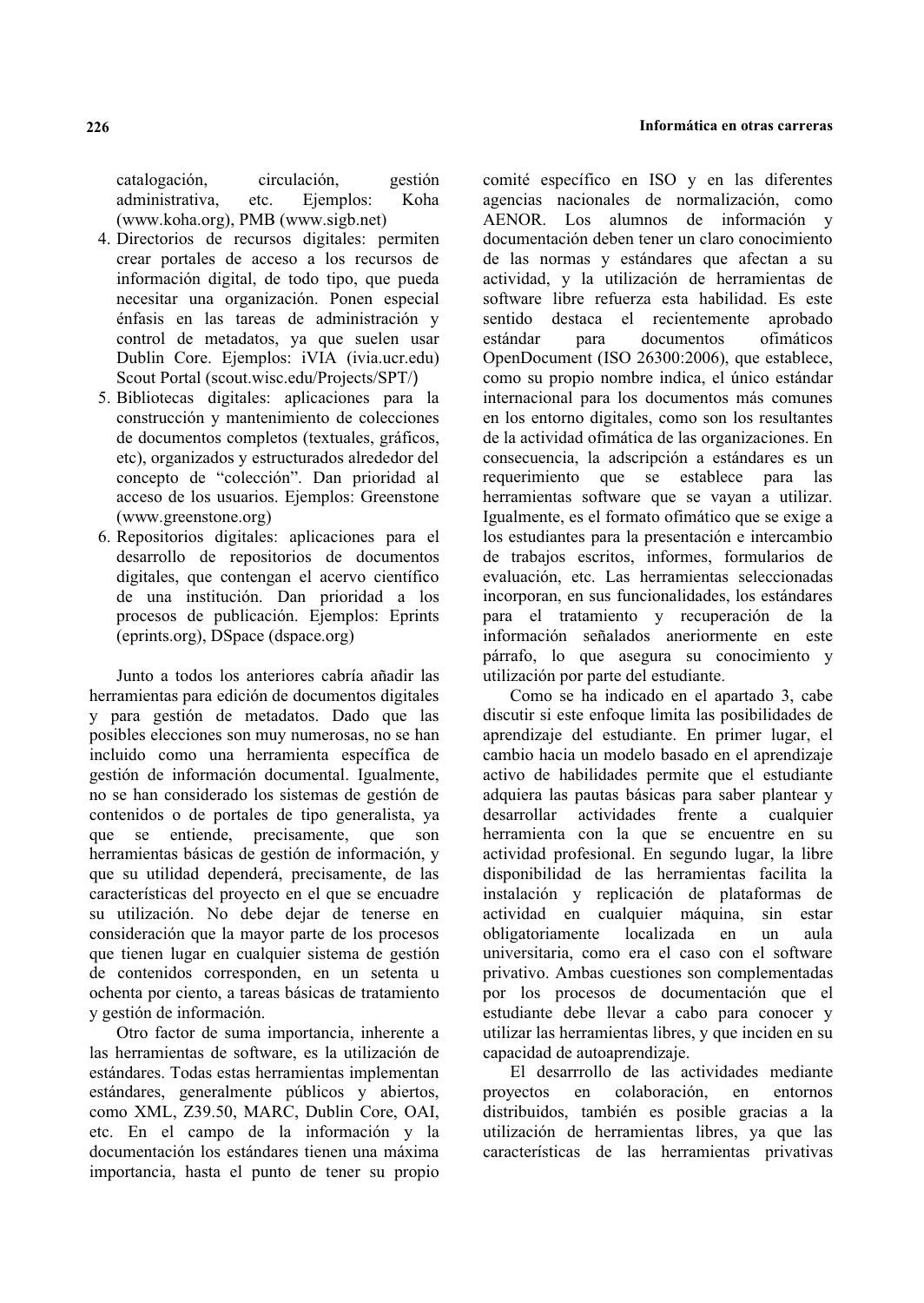catalogación, circulación, gestión administrativa, etc. Eiemplos: Koha  $(www.koha.org)$ , PMB  $(www.sizeb.net)$ 

- 4. Directorios de recursos digitales: permiten crear portales de acceso a los recursos de información digital, de todo tipo, que pueda necesitar una organización. Ponen especial énfasis en las tareas de administración y control de metadatos, ya que suelen usar Dublin Core. Eiemplos: iVIA (ivia.ucr.edu) Scout Portal (scout.wisc.edu/Projects/SPT/)
- 5. Bibliotecas digitales: aplicaciones para la construcción y mantenimiento de colecciones de documentos completos (textuales, gráficos, etc), organizados y estructurados alrededor del concepto de "colección". Dan prioridad al acceso de los usuarios. Ejemplos: Greenstone  $(www.greenstone.org)$
- 6. Repositorios digitales: aplicaciones para el desarrollo de repositorios de documentos digitales, que contengan el acervo científico de una institución. Dan prioridad a los procesos de publicación. Ejemplos: Eprints (eprints.org), DSpace (dspace.org)

Junto a todos los anteriores cabría añadir las herramientas para edición de documentos digitales y para gestión de metadatos. Dado que las posibles elecciones son muy numerosas, no se han incluido como una herramienta específica de gestión de información documental. Igualmente, no se han considerado los sistemas de gestión de contenidos o de portales de tipo generalista, ya que se entiende, precisamente, que son herramientas básicas de gestión de información, y que su utilidad dependerá, precisamente, de las características del proyecto en el que se encuadre su utilización. No debe dejar de tenerse en consideración que la mayor parte de los procesos que tienen lugar en cualquier sistema de gestión de contenidos corresponden, en un setenta u ochenta por ciento, a tareas básicas de tratamiento v gestión de información.

Otro factor de suma importancia, inherente a las herramientas de software, es la utilización de estándares. Todas estas herramientas implementan estándares, generalmente públicos y abiertos, como XML, Z39.50, MARC, Dublin Core, OAI, etc. En el campo de la información y la documentación los estándares tienen una máxima importancia, hasta el punto de tener su propio comité específico en ISO y en las diferentes agencias nacionales de normalización, como AENOR. Los alumnos de información y documentación deben tener un claro conocimiento de las normas y estándares que afectan a su actividad, y la utilización de herramientas de software libre refuerza esta habilidad. Es este sentido destaca el recientemente aprobado estándar para documentos ofimáticos OpenDocument (ISO 26300:2006), que establece. como su propio nombre indica, el único estándar internacional para los documentos más comunes en los entorno digitales, como son los resultantes de la actividad ofimática de las organizaciones. En consecuencia. la adscrinción a estándares es un requerimiento que se establece para las herramientas software que se vayan a utilizar. Igualmente, es el formato ofimático que se exige a los estudiantes para la presentación e intercambio de trabajos escritos, informes, formularios de evaluación, etc. Las herramientas seleccionadas incorporan, en sus funcionalidades, los estándares para el tratamiento y recuperación de la información señalados aneriormente en este párrafo, lo que asegura su conocimiento y utilización por parte del estudiante.

Como se ha indicado en el apartado 3, cabe discutir si este enfoque limita las posibilidades de aprendizaje del estudiante. En primer lugar, el cambio hacia un modelo basado en el aprendizaje activo de habilidades permite que el estudiante adquiera las pautas básicas para saber plantear v desarrollar actividades frente a cualquier herramienta con la que se encuentre en su actividad profesional. En segundo lugar, la libre disponibilidad de las herramientas facilita la instalación y replicación de plataformas de actividad en cualquier máquina, sin estar obligatoriamente localizada en un aula universitaria, como era el caso con el software privativo. Ambas cuestiones son complementadas por los procesos de documentación que el estudiante debe llevar a cabo para conocer y utilizar las herramientas libres, y que inciden en su capacidad de autoaprendizaje.

El desarrrollo de las actividades mediante provectos en colaboración, en entornos distribuidos, también es posible gracias a la utilización de herramientas libres, ya que las características de las herramientas privativas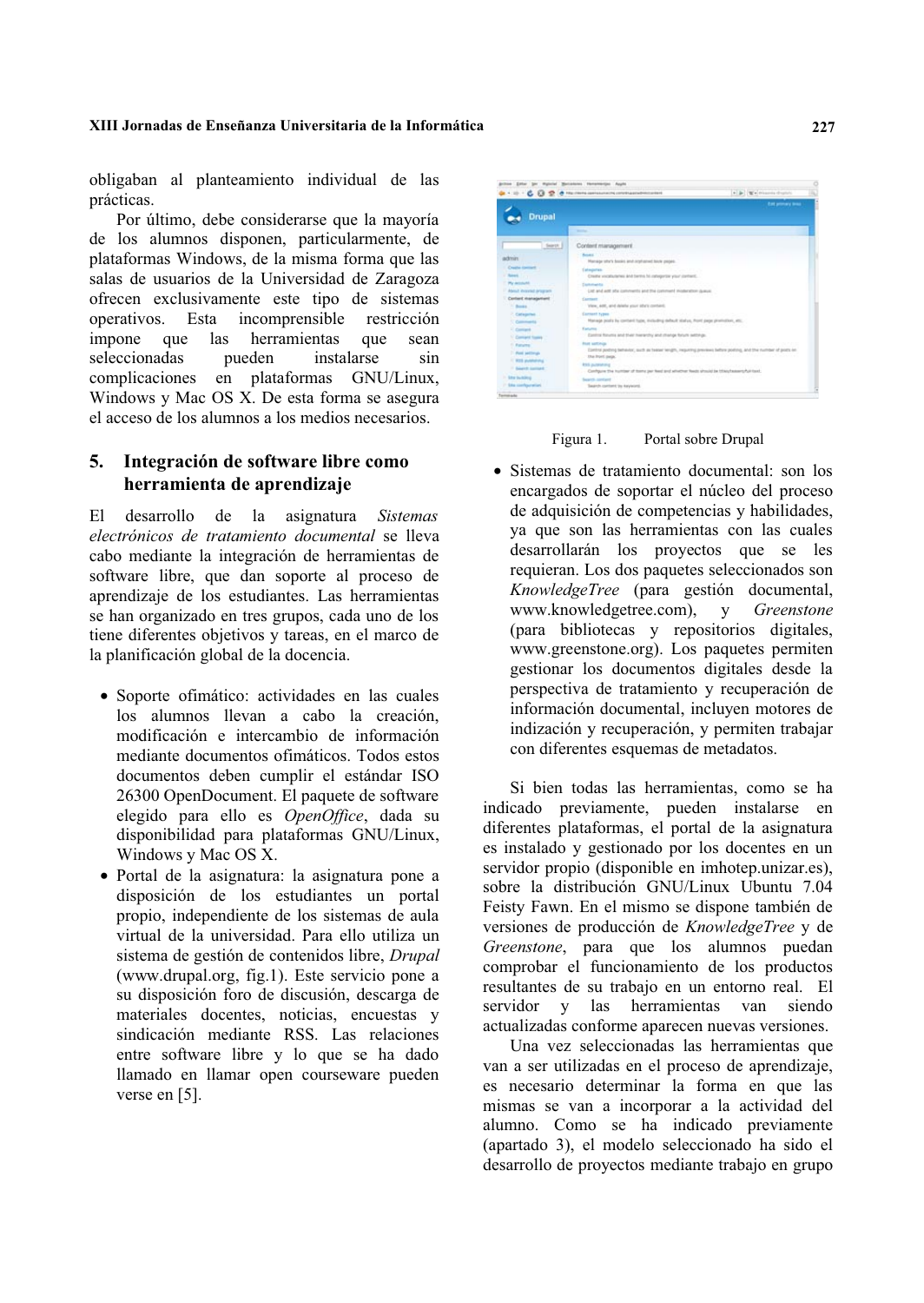#### XIII Jornadas de Enseñanza Universitaria de la Informática

obligaban al planteamiento individual de las prácticas.

Por último, debe considerarse que la mayoría de los alumnos disponen, particularmente, de plataformas Windows, de la misma forma que las salas de usuarios de la Universidad de Zaragoza ofrecen exclusivamente este tipo de sistemas operativos. Esta incomprensible restricción impone que las herramientas que sean seleccionadas pueden instalarse  $sin$ complicaciones en plataformas GNU/Linux, Windows y Mac OS X. De esta forma se asegura el acceso de los alumnos a los medios necesarios.

#### Integración de software libre como 5. herramienta de aprendizaje

desarrollo de la asignatura Sistemas E1. electrónicos de tratamiento documental se lleva cabo mediante la integración de herramientas de software libre, que dan soporte al proceso de aprendizaje de los estudiantes. Las herramientas se han organizado en tres grupos, cada uno de los tiene diferentes objetivos y tareas, en el marco de la planificación global de la docencia.

- · Soporte ofimático: actividades en las cuales los alumnos llevan a cabo la creación. modificación e intercambio de información mediante documentos ofimáticos. Todos estos documentos deben cumplir el estándar ISO 26300 OpenDocument. El paquete de software elegido para ello es OpenOffice, dada su disponibilidad para plataformas GNU/Linux, Windows y Mac OS X.
- · Portal de la asignatura: la asignatura pone a disposición de los estudiantes un portal propio, independiente de los sistemas de aula virtual de la universidad. Para ello utiliza un sistema de gestión de contenidos libre. Drupal (www.drupal.org, fig.1). Este servicio pone a su disposición foro de discusión, descarga de materiales docentes, noticias, encuestas y sindicación mediante RSS. Las relaciones entre software libre y lo que se ha dado llamado en llamar open courseware pueden verse en  $[5]$ .



Figura 1. Portal sobre Drupal

· Sistemas de tratamiento documental: son los encargados de soportar el núcleo del proceso de adquisición de competencias y habilidades, ya que son las herramientas con las cuales desarrollarán los proyectos que se les requieran. Los dos paquetes seleccionados son KnowledgeTree (para gestión documental, www.knowledgetree.com), Greenstone  $\mathbf{y}$ (para bibliotecas y repositorios digitales, www.greenstone.org). Los paquetes permiten gestionar los documentos digitales desde la perspectiva de tratamiento y recuperación de información documental, incluyen motores de indización y recuperación, y permiten trabajar con diferentes esquemas de metadatos.

Si bien todas las herramientas, como se ha indicado previamente, pueden instalarse en diferentes plataformas, el portal de la asignatura es instalado y gestionado por los docentes en un servidor propio (disponible en imhotep.unizar.es), sobre la distribución GNU/Linux Ubuntu 7.04 Feisty Fawn. En el mismo se dispone también de versiones de producción de KnowledgeTree y de Greenstone, para que los alumnos puedan comprobar el funcionamiento de los productos resultantes de su trabajo en un entorno real. El servidor y las herramientas van siendo actualizadas conforme aparecen nuevas versiones.

Una vez seleccionadas las herramientas que van a ser utilizadas en el proceso de aprendizaje, es necesario determinar la forma en que las mismas se van a incorporar a la actividad del alumno. Como se ha indicado previamente (apartado 3), el modelo seleccionado ha sido el desarrollo de proyectos mediante trabajo en grupo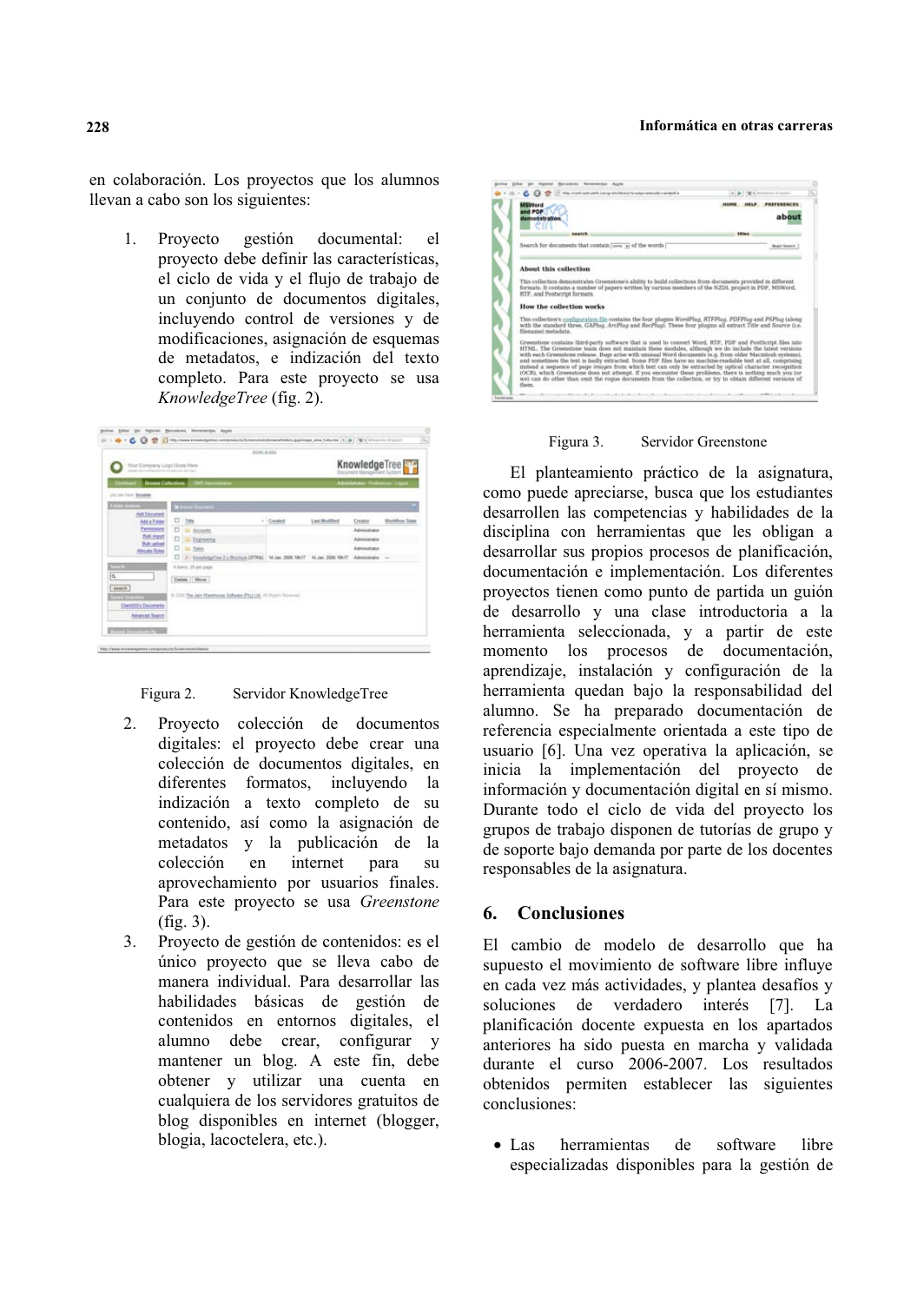#### **Informática en otras carreras**

en colaboración. Los proyectos que los alumnos llevan a cabo son los siguientes:

1. Provecto gestión documental: el proyecto debe definir las características, el ciclo de vida y el flujo de trabajo de un conjunto de documentos digitales, incluyendo control de versiones y de modificaciones, asignación de esquemas de metadatos, e indización del texto completo. Para este proyecto se usa *KnowledgeTree* (fig. 2).

|                                                                                                                                                                                                                                      |                      |                                                               | <b>William at artist</b> |             |                      |                              |                       |
|--------------------------------------------------------------------------------------------------------------------------------------------------------------------------------------------------------------------------------------|----------------------|---------------------------------------------------------------|--------------------------|-------------|----------------------|------------------------------|-----------------------|
| Your Company Logo Goes Here                                                                                                                                                                                                          |                      |                                                               |                          |             | KnowledgeTree        |                              |                       |
|                                                                                                                                                                                                                                      |                      | <b>Increas Culturalism III DMS Administration</b>             |                          |             |                      | Advisionate Violences Liquid |                       |
| photo bone. Benevies                                                                                                                                                                                                                 |                      |                                                               |                          |             |                      |                              |                       |
| <b>TELEVIS</b>                                                                                                                                                                                                                       | <b>Mill Area Div</b> |                                                               |                          |             |                      |                              |                       |
| <b>Add Decoment</b><br>Ant a Folder                                                                                                                                                                                                  |                      | ET Title                                                      |                          | $-$ Created | Last Maddled         | Creator                      | <b>Workflow Stend</b> |
| Parmission                                                                                                                                                                                                                           |                      | <b>CI da Acousta</b>                                          |                          |             |                      | Administrator                |                       |
| <b>Cult most</b><br><b><i>Duff</i></b> splink?                                                                                                                                                                                       | n                    | Gi Expirating                                                 |                          |             |                      | Administrator                |                       |
| Albricate Roles                                                                                                                                                                                                                      |                      | IT Is her                                                     |                          |             |                      | Administrator                |                       |
|                                                                                                                                                                                                                                      |                      | [7] [A] HousindgeTree Z a Brochure (37790) 14 Jan. 2006 1847  |                          |             | 14 Jan. 2006 18th 07 | Absiratatal                  | <b>Color</b>          |
| $-75$                                                                                                                                                                                                                                |                      | 4 here. 35 per page                                           |                          |             |                      |                              |                       |
| π                                                                                                                                                                                                                                    |                      | Detete Move                                                   |                          |             |                      |                              |                       |
| search                                                                                                                                                                                                                               |                      |                                                               |                          |             |                      |                              |                       |
| <b>CONTRACTOR</b>                                                                                                                                                                                                                    |                      | 0 2000 The Jam Washingto Schools (PhyLidd, 41 Nights Records) |                          |             |                      |                              |                       |
| Cherrillity Deciments                                                                                                                                                                                                                |                      |                                                               |                          |             |                      |                              |                       |
| <b>Adverted Teams</b>                                                                                                                                                                                                                |                      |                                                               |                          |             |                      |                              |                       |
| <b>The Contract of Contract of Contract of Contract of Contract of Contract of Contract of Contract of Contract of Contract of Contract of Contract of Contract of Contract of Contract of Contract of Contract of Contract of C</b> |                      |                                                               |                          |             |                      |                              |                       |

Figura 2. Servidor KnowledgeTree

- 2. Proyecto colección de documentos digitales: el proyecto debe crear una colección de documentos digitales, en diferentes formatos, incluyendo la diferentes formatos, indización a texto completo de su contenido, así como la asignación de metadatos y la publicación de la colección en internet para su aprovechamiento por usuarios finales. Para este proyecto se usa Greenstone  $(fig. 3)$ .
- 3. Provecto de gestión de contenidos: es el único proyecto que se lleva cabo de manera individual. Para desarrollar las habilidades básicas de gestión de contenidos en entornos digitales, el alumno debe crear, configurar y mantener un blog. A este fin, debe obtener y utilizar una cuenta en cualquiera de los servidores gratuitos de blog disponibles en internet (blogger, blogia, lacoctelera, etc.).



Figura 3. Servidor Greenstone

El planteamiento práctico de la asignatura, como puede apreciarse, busca que los estudiantes desarrollen las competencias y habilidades de la disciplina con herramientas que les obligan a desarrollar sus propios procesos de planificación, documentación e implementación. Los diferentes proyectos tienen como punto de partida un guión de desarrollo y una clase introductoria a la herramienta seleccionada, y a partir de este momento los procesos de documentación, aprendizaje, instalación y configuración de la herramienta quedan bajo la responsabilidad del alumno. Se ha preparado documentación de referencia especialmente orientada a este tipo de usuario [6]. Una vez operativa la aplicación, se inicia la implementación del proyecto de información y documentación digital en sí mismo. Durante todo el ciclo de vida del proyecto los grupos de trabajo disponen de tutorías de grupo y de soporte bajo demanda por parte de los docentes responsables de la asignatura.

### **6. Conclusiones**

El cambio de modelo de desarrollo que ha supuesto el movimiento de software libre influye en cada vez más actividades, y plantea desafíos y soluciones de verdadero interés [7]. La planificación docente expuesta en los apartados anteriores ha sido puesta en marcha y validada durante el curso 2006-2007. Los resultados obtenidos permiten establecer las siguientes conclusiones:

• Las herramientas de software libre especializadas disponibles para la gestión de